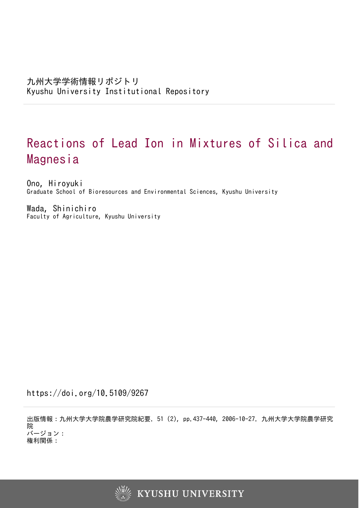# Reactions of Lead Ion in Mixtures of Silica and Magnesia

Ono, Hiroyuki Graduate School of Bioresources and Environmental Sciences, Kyushu University

Wada, Shinichiro Faculty of Agriculture, Kyushu University

https://doi.org/10.5109/9267

出版情報:九州大学大学院農学研究院紀要. 51 (2), pp.437-440, 2006-10-27. 九州大学大学院農学研究 院 バージョン: 権利関係:

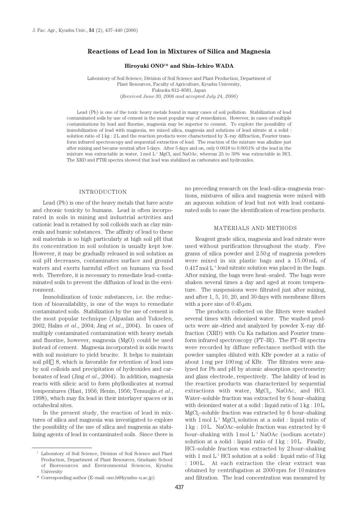## **Reactions of Lead Ion in Mixtures of Silica and Magnesia**

### **Hiroyuki ONO1 \* and Shin–Ichiro WADA**

Laboratory of Soil Science, Division of Soil Science and Plant Production, Department of Plant Resources, Faculty of Agriculture, Kyushu University, Fukuoka 812–8581, Japan (*Received June 30, 2006 and accepted July 24, 2006*)

Lead (Pb) is one of the toxic heavy metals found in many cases of soil pollution. Stabilization of lead contaminated soils by use of cement is the most popular way of remediation. However, in cases of multiple contaminations by lead and fluorine, magnesia may be superior to cement. To explore the possibility of immobilization of lead with magnesia, we mixed silica, magnesia and solutions of lead nitrate at a solid : solution ratio of  $1 \text{ kg} : 2 \text{ L}$  and the reaction products were characterized by X–ray diffraction, Fourier transform infrared spectroscopy and sequential extraction of lead. The reaction of the mixture was alkaline just after mixing and became neutral after 5 days. After 5 days and on, only 0.0018 to 0.0051% of the lead in the mixture was extractable in water, 1 mol  $L^{-1}$  MgCl<sub>2</sub> and NaOAc, whereas 25 to 30% was extractable in HCl. The XRD and FTIR spectra showed that lead was stabilized as carbonates and hydroxides.

## INTRODUCTION

Lead (Pb) is one of the heavy metals that have acute and chronic toxicity to humans. Lead is often incorporated in soils in mining and industrial activities and cationic lead is retained by soil colloids such as clay minerals and humic substances. The affinity of lead to these soil materials is so high particularly at high soil pH that its concentration in soil solution is usually kept low. However, it may be gradually released in soil solution as soil pH decreases, contaminates surface and ground waters and exerts harmful effect on humans via food web. Therefore, it is necessary to remediate lead–contaminated soils to prevent the diffusion of lead in the environment.

Immobilization of toxic substances, i.e. the reduction of bioavailability, is one of the ways to remediate contaminated soils. Stabilization by the use of cement is the most popular technique (Alpaslan and Yukselen, 2002; Halim *et al*., 2004; Jing *et al*., 2004). In cases of multiply contaminated contamination with heavy metals and fluorine, however, magnesia (MgO) could be used instead of cement. Magnesia incorporated in soils reacts with soil moisture to yield brucite. It helps to maintain soil pH 8, which is favorable for retention of lead ions by soil colloids and precipitation of hydroxides and carbonates of lead (Jing *et al*., 2004). In addition, magnesia reacts with silicic acid to form phyllosilicates at normal temperatures (Hast, 1956; Henin, 1956; Temuujin *et al*., 1998), which may fix lead in their interlayer spaces or in octahedral sites.

In the present study, the reaction of lead in mixtures of silica and magnesia was investigated to explore the possibility of the use of silica and magnesia as stabilizing agents of lead in contaminated soils. Since there is no preceding research on the lead–silica–magnesia reactions, mixtures of silica and magnesia were mixed with an aqueous solution of lead but not with lead contaminated soils to ease the identification of reaction products.

#### MATERIALS AND METHODS

Reagent grade silica, magnesia and lead nitrate were used without purification throughout the study. Five grams of silica powder and 2.50 g of magnesia powders were mixed in six plastic bags and a 15.00 mL of  $0.417$  mol  $L^{-1}$  lead nitrate solution was placed in the bags. After mixing, the bags were heat–sealed. The bags were shaken several times a day and aged at room temperature. The suspensions were filtrated just after mixing, and after 1, 5, 10, 20, and 30 days with membrane filters with a pore size of  $0.45 \mu$ m.

The products collected on the filters were washed several times with deionized water. The washed products were air–dried and analyzed by powder X–ray diffraction (XRD) with Cu Ka radiation and Fourier transform infrared spectroscopy (FT–IR). The FT–IR spectra were recorded by diffuse reflectance method with the powder samples diluted with KBr powder at a ratio of about 1 mg per 100 mg of KBr. The filtrates were analyzed for Pb and pH by atomic absorption spectrometry and glass electrode, respectively. The lability of lead in the reaction products was characterized by sequential extractions with water, MgCl<sub>2</sub>, NaOAc, and HCl. Water–soluble fraction was extracted by 6 hour–shaking with deionized water at a solid : liquid ratio of 1 kg : 10 L.  $MgCl<sub>2</sub>$ –soluble fraction was extracted by 6 hour–shaking with  $1 \text{ mol } L^{-1}$  MgCl<sub>2</sub> solution at a solid : liquid ratio of 1 kg : 10 L. NaOAc–soluble fraction was extracted by 6 hour–shaking with  $1 \text{ mol } L^{-1}$  NaOAc (sodium acetate) solution at a solid : liquid ratio of 1 kg : 10 L. Finally, HCl–soluble fraction was extracted by 2 hour–shaking with 1 mol  $L^{-1}$  HCl solution at a solid : liquid ratio of  $3 \text{ kg}$ : 100 L. At each extraction the clear extract was obtained by centrifugation at 2000 rpm for 10 minutes and filtration. The lead concentration was measured by

<sup>1</sup> Laboratory of Soil Science, Division of Soil Science and Plant Production, Department of Plant Resources, Graduate School of Bioresources and Environmental Sciences, Kyushu University

<sup>\*</sup> Corresponding author (E–mail: ono.h@kyushu–u.ac.jp)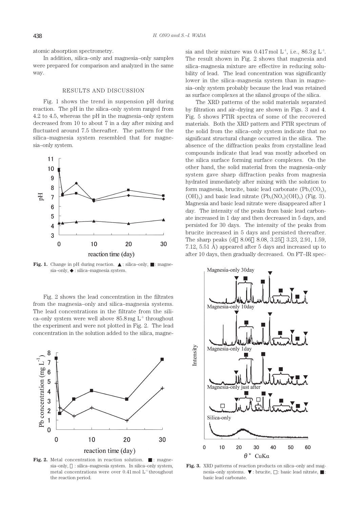atomic absorption spectrometry.

In addition, silica–only and magnesia–only samples were prepared for comparison and analyzed in the same way.

#### RESULTS AND DISCUSSION

Fig. 1 shows the trend in suspension pH during reaction. The pH in the silica–only system ranged from 4.2 to 4.5, whereas the pH in the magnesia–only system decreased from 10 to about 7 in a day after mixing and fluctuated around 7.5 thereafter. The pattern for the silica–magnesia system resembled that for magnesia–only system.



**Fig. 1.** Change in pH during reaction. : silica–only, : magnesia–only, : silica–magnesia system.

Fig. 2 shows the lead concentration in the filtrates from the magnesia–only and silica–magnesia systems. The lead concentrations in the filtrate from the silica–only system were well above  $85.8 \text{ mg } L^{-1}$  throughout the experiment and were not plotted in Fig. 2. The lead concentration in the solution added to the silica, magne-



Fig. 2. Metal concentration in reaction solution. : magnesia–only, : silica–magnesia system. In silica–only system, metal concentrations were over 0.41 mol L<sup>-1</sup> throughout the reaction period.

sia and their mixture was  $0.417 \,\mathrm{mol}$  L<sup>-1</sup>, i.e.,  $86.3 \,\mathrm{g}$  L<sup>-1</sup>. The result shown in Fig. 2 shows that magnesia and silica–magnesia mixture are effective in reducing solubility of lead. The lead concentration was significantly lower in the silica–magnesia system than in magnesia–only system probably because the lead was retained as surface complexes at the silanol groups of the silica.

The XRD patterns of the solid materials separated by filtration and air–drying are shown in Figs. 3 and 4. Fig. 5 shows FTIR spectra of some of the recovered materials. Both the XRD pattern and FTIR spectrum of the solid from the silica–only system indicate that no significant structural change occurred in the silica. The absence of the diffraction peaks from crystalline lead compounds indicate that lead was mostly adsorbed on the silica surface forming surface complexes. On the other hand, the solid material from the magnesia–only system gave sharp diffraction peaks from magnesia hydrated immediately after mixing with the solution to form magnesia, brucite, basic lead carbonate  $(Pb_3(CO_3)_2)$  $(OH)_{2}$ ) and basic lead nitrate  $(Pb_{3}(NO_{3})(OH)_{5})$  (Fig. 3). Magnesia and basic lead nitrate were disappeared after 1 day. The intensity of the peaks from basic lead carbonate increased in 1 day and then decreased in 5 days, and persisted for 30 days. The intensity of the peaks from brucite increased in 5 days and persisted thereafter. The sharp peaks (d 8.06 8.08, 3.25 3.23, 2.91, 1.59, 7.12, 5.51 Å) appeared after 5 days and increased up to after 10 days, then gradually decreased. On FT–IR spec-



**Fig. 3.** XRD patterns of reaction products on silica–only and magnesia–only systems. : brucite, : basic lead nitrate, : basic lead carbonate.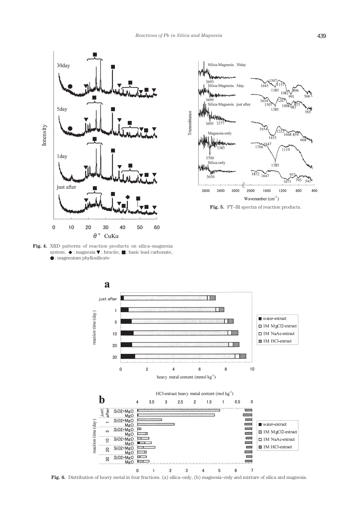

**Fig. 4.** XRD patterns of reaction products on silica–magnesia system. : magnesia : brucite, : basic lead carbonate, : magnesium phyllosilicate



**Fig. 5.** FT–IR spectra of reaction products.



**Fig. 6.** Distribution of heavy metal in four fractions. (a) silica–only, (b) magnesia–only and mixture of silica and magnesia.